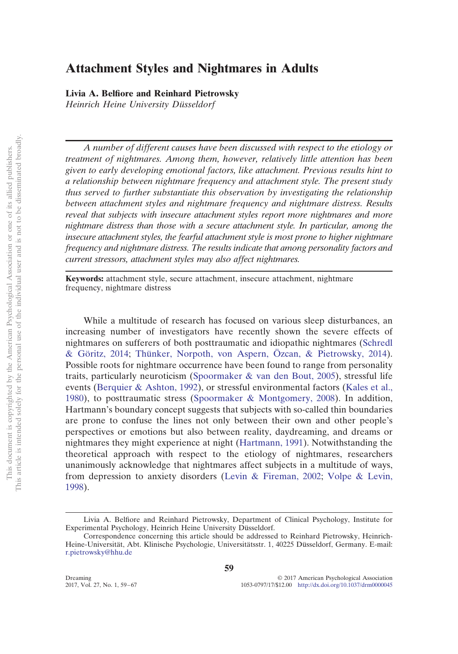# **Attachment Styles and Nightmares in Adults**

**Livia A. Belfiore and Reinhard Pietrowsky**

*Heinrich Heine University Düsseldorf*

*A number of different causes have been discussed with respect to the etiology or treatment of nightmares. Among them, however, relatively little attention has been given to early developing emotional factors, like attachment. Previous results hint to a relationship between nightmare frequency and attachment style. The present study thus served to further substantiate this observation by investigating the relationship between attachment styles and nightmare frequency and nightmare distress. Results reveal that subjects with insecure attachment styles report more nightmares and more nightmare distress than those with a secure attachment style. In particular, among the insecure attachment styles, the fearful attachment style is most prone to higher nightmare frequency and nightmare distress. The results indicate that among personality factors and current stressors, attachment styles may also affect nightmares.*

**Keywords:** attachment style, secure attachment, insecure attachment, nightmare frequency, nightmare distress

While a multitude of research has focused on various sleep disturbances, an increasing number of investigators have recently shown the severe effects of nightmares on sufferers of both posttraumatic and idiopathic nightmares [\(Schredl](#page-7-0) [& Göritz, 2014;](#page-7-0) [Thünker, Norpoth, von Aspern, Özcan, & Pietrowsky, 2014\)](#page-8-0). Possible roots for nightmare occurrence have been found to range from personality traits, particularly neuroticism [\(Spoormaker & van den Bout, 2005\)](#page-8-1), stressful life events [\(Berquier & Ashton, 1992\)](#page-7-1), or stressful environmental factors [\(Kales et al.,](#page-7-2) [1980\)](#page-7-2), to posttraumatic stress [\(Spoormaker & Montgomery, 2008\)](#page-8-2). In addition, Hartmann's boundary concept suggests that subjects with so-called thin boundaries are prone to confuse the lines not only between their own and other people's perspectives or emotions but also between reality, daydreaming, and dreams or nightmares they might experience at night [\(Hartmann, 1991\)](#page-7-3). Notwithstanding the theoretical approach with respect to the etiology of nightmares, researchers unanimously acknowledge that nightmares affect subjects in a multitude of ways, from depression to anxiety disorders [\(Levin & Fireman, 2002;](#page-7-4) [Volpe & Levin,](#page-8-3) [1998\)](#page-8-3).

Livia A. Belfiore and Reinhard Pietrowsky, Department of Clinical Psychology, Institute for Experimental Psychology, Heinrich Heine University Düsseldorf.

Correspondence concerning this article should be addressed to Reinhard Pietrowsky, Heinrich-Heine-Universität, Abt. Klinische Psychologie, Universitätsstr. 1, 40225 Düsseldorf, Germany. E-mail: [r.pietrowsky@hhu.de](mailto:r.pietrowsky@hhu.de)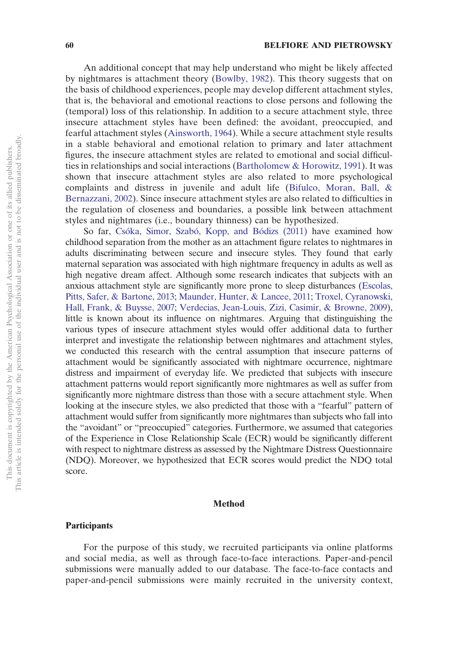An additional concept that may help understand who might be likely affected by nightmares is attachment theory [\(Bowlby, 1982\)](#page-7-5). This theory suggests that on the basis of childhood experiences, people may develop different attachment styles, that is, the behavioral and emotional reactions to close persons and following the (temporal) loss of this relationship. In addition to a secure attachment style, three insecure attachment styles have been defined: the avoidant, preoccupied, and fearful attachment styles [\(Ainsworth, 1964\)](#page-7-6). While a secure attachment style results in a stable behavioral and emotional relation to primary and later attachment figures, the insecure attachment styles are related to emotional and social difficulties in relationships and social interactions [\(Bartholomew & Horowitz, 1991\)](#page-7-7). It was shown that insecure attachment styles are also related to more psychological complaints and distress in juvenile and adult life [\(Bifulco, Moran, Ball, &](#page-7-8) [Bernazzani, 2002\)](#page-7-8). Since insecure attachment styles are also related to difficulties in the regulation of closeness and boundaries, a possible link between attachment styles and nightmares (i.e., boundary thinness) can be hypothesized.

So far, [Csóka, Simor, Szabó, Kopp, and Bódizs \(2011\)](#page-7-9) have examined how childhood separation from the mother as an attachment figure relates to nightmares in adults discriminating between secure and insecure styles. They found that early maternal separation was associated with high nightmare frequency in adults as well as high negative dream affect. Although some research indicates that subjects with an anxious attachment style are significantly more prone to sleep disturbances [\(Escolas,](#page-7-10) [Pitts, Safer, & Bartone, 2013;](#page-7-10) [Maunder, Hunter, & Lancee, 2011;](#page-7-11) [Troxel, Cyranowski,](#page-8-4) [Hall, Frank, & Buysse, 2007;](#page-8-4) [Verdecias, Jean-Louis, Zizi, Casimir, & Browne, 2009\)](#page-7-12), little is known about its influence on nightmares. Arguing that distinguishing the various types of insecure attachment styles would offer additional data to further interpret and investigate the relationship between nightmares and attachment styles, we conducted this research with the central assumption that insecure patterns of attachment would be significantly associated with nightmare occurrence, nightmare distress and impairment of everyday life. We predicted that subjects with insecure attachment patterns would report significantly more nightmares as well as suffer from significantly more nightmare distress than those with a secure attachment style. When looking at the insecure styles, we also predicted that those with a "fearful" pattern of attachment would suffer from significantly more nightmares than subjects who fall into the "avoidant" or "preoccupied" categories. Furthermore, we assumed that categories of the Experience in Close Relationship Scale (ECR) would be significantly different with respect to nightmare distress as assessed by the Nightmare Distress Questionnaire (NDQ). Moreover, we hypothesized that ECR scores would predict the NDQ total score.

### **Method**

## **Participants**

For the purpose of this study, we recruited participants via online platforms and social media, as well as through face-to-face interactions. Paper-and-pencil submissions were manually added to our database. The face-to-face contacts and paper-and-pencil submissions were mainly recruited in the university context,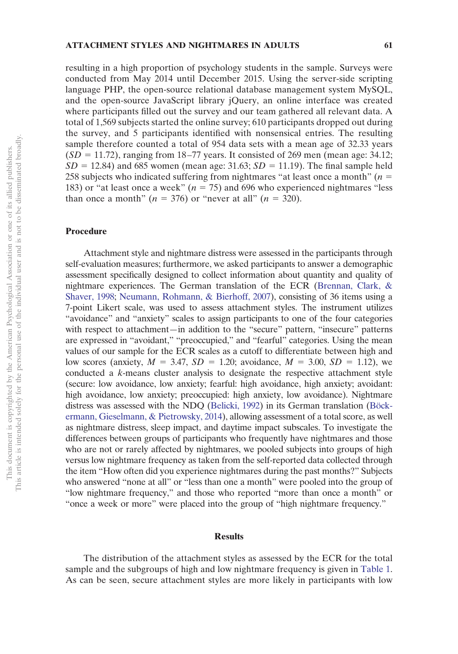resulting in a high proportion of psychology students in the sample. Surveys were conducted from May 2014 until December 2015. Using the server-side scripting language PHP, the open-source relational database management system MySQL, and the open-source JavaScript library jQuery, an online interface was created where participants filled out the survey and our team gathered all relevant data. A total of 1,569 subjects started the online survey; 610 participants dropped out during the survey, and 5 participants identified with nonsensical entries. The resulting sample therefore counted a total of 954 data sets with a mean age of 32.33 years  $(SD = 11.72)$ , ranging from 18–77 years. It consisted of 269 men (mean age: 34.12;  $SD = 12.84$ ) and 685 women (mean age:  $31.63$ ;  $SD = 11.19$ ). The final sample held 258 subjects who indicated suffering from nightmares "at least once a month"  $(n =$ 183) or "at least once a week"  $(n = 75)$  and 696 who experienced nightmares "less than once a month"  $(n = 376)$  or "never at all"  $(n = 320)$ .

## **Procedure**

Attachment style and nightmare distress were assessed in the participants through self-evaluation measures; furthermore, we asked participants to answer a demographic assessment specifically designed to collect information about quantity and quality of nightmare experiences. The German translation of the ECR [\(Brennan, Clark, &](#page-7-13) [Shaver, 1998;](#page-7-13) [Neumann, Rohmann, & Bierhoff, 2007\)](#page-7-14), consisting of 36 items using a 7-point Likert scale, was used to assess attachment styles. The instrument utilizes "avoidance" and "anxiety" scales to assign participants to one of the four categories with respect to attachment—in addition to the "secure" pattern, "insecure" patterns are expressed in "avoidant," "preoccupied," and "fearful" categories. Using the mean values of our sample for the ECR scales as a cutoff to differentiate between high and low scores (anxiety,  $M = 3.47$ ,  $SD = 1.20$ ; avoidance,  $M = 3.00$ ,  $SD = 1.12$ ), we conducted a *k*-means cluster analysis to designate the respective attachment style (secure: low avoidance, low anxiety; fearful: high avoidance, high anxiety; avoidant: high avoidance, low anxiety; preoccupied: high anxiety, low avoidance). Nightmare distress was assessed with the NDQ [\(Belicki, 1992\)](#page-7-15) in its German translation [\(Böck](#page-7-16)[ermann, Gieselmann, & Pietrowsky, 2014\)](#page-7-16), allowing assessment of a total score, as well as nightmare distress, sleep impact, and daytime impact subscales. To investigate the differences between groups of participants who frequently have nightmares and those who are not or rarely affected by nightmares, we pooled subjects into groups of high versus low nightmare frequency as taken from the self-reported data collected through the item "How often did you experience nightmares during the past months?" Subjects who answered "none at all" or "less than one a month" were pooled into the group of "low nightmare frequency," and those who reported "more than once a month" or "once a week or more" were placed into the group of "high nightmare frequency."

## **Results**

The distribution of the attachment styles as assessed by the ECR for the total sample and the subgroups of high and low nightmare frequency is given in [Table 1.](#page-3-0) As can be seen, secure attachment styles are more likely in participants with low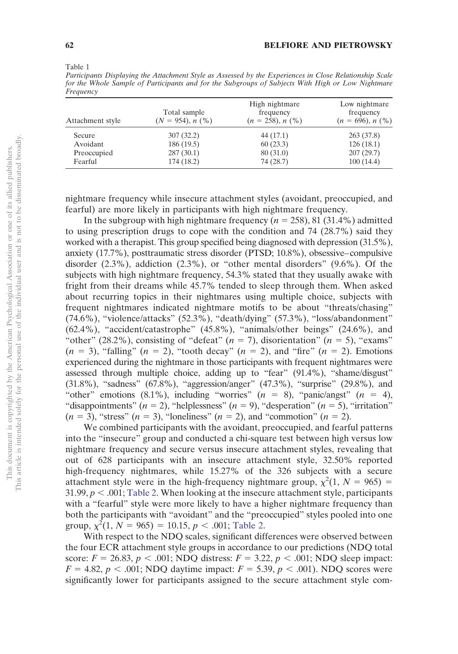<span id="page-3-0"></span>Table 1

*Participants Displaying the Attachment Style as Assessed by the Experiences in Close Relationship Scale for the Whole Sample of Participants and for the Subgroups of Subjects With High or Low Nightmare Frequency*

| Attachment style | Total sample<br>$(N = 954)$ , n $(\%)$ | High nightmare<br>frequency<br>$(n = 258), n$ (%) | Low nightmare<br>frequency<br>$(n = 696), n$ (%) |  |
|------------------|----------------------------------------|---------------------------------------------------|--------------------------------------------------|--|
| Secure           | 307(32.2)                              | 44 (17.1)                                         | 263(37.8)                                        |  |
| Avoidant         | 186 (19.5)                             | 60(23.3)                                          | 126(18.1)                                        |  |
| Preoccupied      | 287(30.1)                              | 80(31.0)                                          | 207(29.7)                                        |  |
| Fearful          | 174(18.2)                              | 74 (28.7)                                         | 100(14.4)                                        |  |

nightmare frequency while insecure attachment styles (avoidant, preoccupied, and fearful) are more likely in participants with high nightmare frequency.

In the subgroup with high nightmare frequency  $(n = 258)$ , 81 (31.4%) admitted to using prescription drugs to cope with the condition and 74 (28.7%) said they worked with a therapist. This group specified being diagnosed with depression (31.5%), anxiety (17.7%), posttraumatic stress disorder (PTSD; 10.8%), obsessive–compulsive disorder (2.3%), addiction (2.3%), or "other mental disorders" (9.6%). Of the subjects with high nightmare frequency, 54.3% stated that they usually awake with fright from their dreams while 45.7% tended to sleep through them. When asked about recurring topics in their nightmares using multiple choice, subjects with frequent nightmares indicated nightmare motifs to be about "threats/chasing" (74.6%), "violence/attacks" (52.3%), "death/dying" (57.3%), "loss/abandonment" (62.4%), "accident/catastrophe" (45.8%), "animals/other beings" (24.6%), and "other" (28.2%), consisting of "defeat"  $(n = 7)$ , disorientation"  $(n = 5)$ , "exams"  $(n = 3)$ , "falling"  $(n = 2)$ , "tooth decay"  $(n = 2)$ , and "fire"  $(n = 2)$ . Emotions experienced during the nightmare in those participants with frequent nightmares were assessed through multiple choice, adding up to "fear" (91.4%), "shame/disgust" (31.8%), "sadness" (67.8%), "aggression/anger" (47.3%), "surprise" (29.8%), and "other" emotions  $(8.1\%)$ , including "worries"  $(n = 8)$ , "panic/angst"  $(n = 4)$ , "disappointments"  $(n = 2)$ , "helplessness"  $(n = 9)$ , "desperation"  $(n = 5)$ , "irritation"  $(n = 3)$ , "stress"  $(n = 3)$ , "loneliness"  $(n = 2)$ , and "commotion"  $(n = 2)$ .

We combined participants with the avoidant, preoccupied, and fearful patterns into the "insecure" group and conducted a chi-square test between high versus low nightmare frequency and secure versus insecure attachment styles, revealing that out of 628 participants with an insecure attachment style, 32.50% reported high-frequency nightmares, while 15.27% of the 326 subjects with a secure attachment style were in the high-frequency nightmare group,  $\chi^2(1, N = 965)$  = 31.99,  $p < .001$ ; [Table 2.](#page-4-0) When looking at the insecure attachment style, participants with a "fearful" style were more likely to have a higher nightmare frequency than both the participants with "avoidant" and the "preoccupied" styles pooled into one group,  $\chi^2(1, N = 965) = 10.15, p < .001$ ; [Table 2.](#page-4-0)

With respect to the NDQ scales, significant differences were observed between the four ECR attachment style groups in accordance to our predictions (NDQ total score:  $F = 26.83$ ,  $p < .001$ ; NDQ distress:  $F = 3.22$ ,  $p < .001$ ; NDQ sleep impact:  $F = 4.82, p < .001$ ; NDQ daytime impact:  $F = 5.39, p < .001$ ). NDQ scores were significantly lower for participants assigned to the secure attachment style com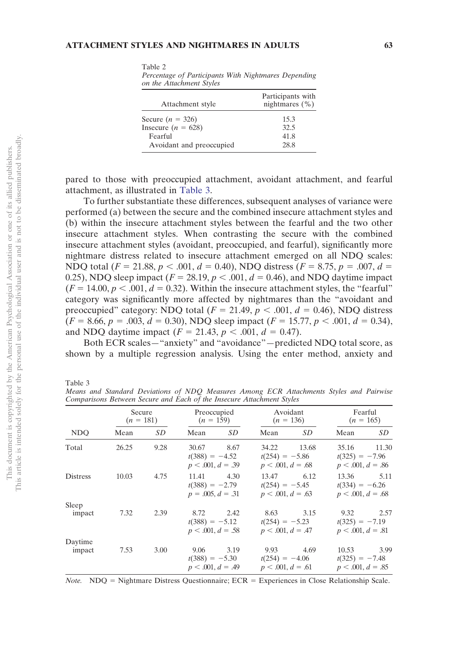<span id="page-4-0"></span>Table 2

*Percentage of Participants With Nightmares Depending on the Attachment Styles*

| Attachment style         | Participants with<br>nightmares $(\% )$ |
|--------------------------|-----------------------------------------|
| Secure $(n = 326)$       | 15.3                                    |
| Insecure $(n = 628)$     | 32.5                                    |
| Fearful                  | 41.8                                    |
| Avoidant and preoccupied | 28.8                                    |

pared to those with preoccupied attachment, avoidant attachment, and fearful attachment, as illustrated in [Table 3.](#page-4-1)

To further substantiate these differences, subsequent analyses of variance were performed (a) between the secure and the combined insecure attachment styles and (b) within the insecure attachment styles between the fearful and the two other insecure attachment styles. When contrasting the secure with the combined insecure attachment styles (avoidant, preoccupied, and fearful), significantly more nightmare distress related to insecure attachment emerged on all NDQ scales: NDQ total ( $F = 21.88$ ,  $p < .001$ ,  $d = 0.40$ ), NDQ distress ( $F = 8.75$ ,  $p = .007$ ,  $d =$ 0.25), NDQ sleep impact  $(F = 28.19, p < .001, d = 0.46)$ , and NDQ daytime impact  $(F = 14.00, p < .001, d = 0.32)$ . Within the insecure attachment styles, the "fearful" category was significantly more affected by nightmares than the "avoidant and preoccupied" category: NDQ total  $(F = 21.49, p < .001, d = 0.46)$ , NDQ distress  $(F = 8.66, p = .003, d = 0.30), \text{NDO}$  sleep impact  $(F = 15.77, p < .001, d = 0.34),$ and NDQ daytime impact  $(F = 21.43, p < .001, d = 0.47)$ .

Both ECR scales—"anxiety" and "avoidance"—predicted NDQ total score, as shown by a multiple regression analysis. Using the enter method, anxiety and

<span id="page-4-1"></span>Table 3

*Means and Standard Deviations of NDQ Measures Among ECR Attachments Styles and Pairwise Comparisons Between Secure and Each of the Insecure Attachment Styles*

| NDO               | Secure<br>$(n = 181)$ |      | Preoccupied<br>$(n = 159)$                       |      | Avoidant<br>$(n = 136)$                          |       | Fearful<br>$(n = 165)$                           |       |
|-------------------|-----------------------|------|--------------------------------------------------|------|--------------------------------------------------|-------|--------------------------------------------------|-------|
|                   | Mean                  | SD   | Mean                                             | SD   | Mean                                             | SD    | Mean                                             | SD    |
| Total             | 26.25                 | 9.28 | 30.67<br>$t(388) = -4.52$<br>$p < .001, d = .39$ | 8.67 | 34.22<br>$t(254) = -5.86$<br>$p < .001, d = .68$ | 13.68 | 35.16<br>$t(325) = -7.96$<br>$p < .001, d = .86$ | 11.30 |
| <b>Distress</b>   | 10.03                 | 4.75 | 11.41<br>$t(388) = -2.79$<br>$p = .005, d = .31$ | 4.30 | 13.47<br>$t(254) = -5.45$<br>$p < .001, d = .63$ | 6.12  | 13.36<br>$t(334) = -6.26$<br>$p < .001, d = .68$ | 5.11  |
| Sleep<br>impact   | 7.32                  | 2.39 | 8.72<br>$t(388) = -5.12$<br>$p < .001, d = .58$  | 2.42 | 8.63<br>$t(254) = -5.23$<br>$p < .001, d = .47$  | 3.15  | 9.32<br>$t(325) = -7.19$<br>$p < .001, d = .81$  | 2.57  |
| Daytime<br>impact | 7.53                  | 3.00 | 9.06<br>$t(388) = -5.30$<br>$p < .001, d = .49$  | 3.19 | 9.93<br>$t(254) = -4.06$<br>$p < .001, d = .61$  | 4.69  | 10.53<br>$t(325) = -7.48$<br>$p < .001, d = .85$ | 3.99  |

*Note.* NDQ = Nightmare Distress Questionnaire; ECR = Experiences in Close Relationship Scale.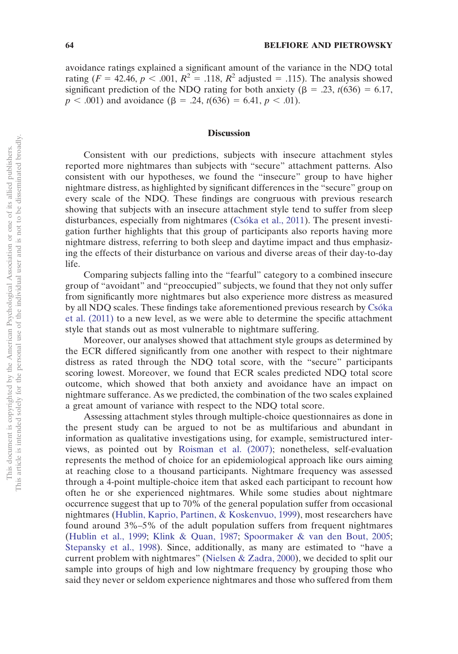avoidance ratings explained a significant amount of the variance in the NDQ total rating ( $F = 42.46$ ,  $p < .001$ ,  $R^2 = .118$ ,  $R^2$  adjusted = .115). The analysis showed significant prediction of the NDQ rating for both anxiety ( $\beta$  = .23, *t*(636) = 6.17,  $p < .001$ ) and avoidance ( $\beta = .24$ ,  $t(636) = 6.41$ ,  $p < .01$ ).

### **Discussion**

Consistent with our predictions, subjects with insecure attachment styles reported more nightmares than subjects with "secure" attachment patterns. Also consistent with our hypotheses, we found the "insecure" group to have higher nightmare distress, as highlighted by significant differences in the "secure" group on every scale of the NDQ. These findings are congruous with previous research showing that subjects with an insecure attachment style tend to suffer from sleep disturbances, especially from nightmares [\(Csóka et al., 2011\)](#page-7-9). The present investigation further highlights that this group of participants also reports having more nightmare distress, referring to both sleep and daytime impact and thus emphasizing the effects of their disturbance on various and diverse areas of their day-to-day life.

Comparing subjects falling into the "fearful" category to a combined insecure group of "avoidant" and "preoccupied" subjects, we found that they not only suffer from significantly more nightmares but also experience more distress as measured by all NDQ scales. These findings take aforementioned previous research by [Csóka](#page-7-9) [et al. \(2011\)](#page-7-9) to a new level, as we were able to determine the specific attachment style that stands out as most vulnerable to nightmare suffering.

Moreover, our analyses showed that attachment style groups as determined by the ECR differed significantly from one another with respect to their nightmare distress as rated through the NDQ total score, with the "secure" participants scoring lowest. Moreover, we found that ECR scales predicted NDQ total score outcome, which showed that both anxiety and avoidance have an impact on nightmare sufferance. As we predicted, the combination of the two scales explained a great amount of variance with respect to the NDQ total score.

Assessing attachment styles through multiple-choice questionnaires as done in the present study can be argued to not be as multifarious and abundant in information as qualitative investigations using, for example, semistructured interviews, as pointed out by [Roisman et al. \(2007\);](#page-7-17) nonetheless, self-evaluation represents the method of choice for an epidemiological approach like ours aiming at reaching close to a thousand participants. Nightmare frequency was assessed through a 4-point multiple-choice item that asked each participant to recount how often he or she experienced nightmares. While some studies about nightmare occurrence suggest that up to 70% of the general population suffer from occasional nightmares [\(Hublin, Kaprio, Partinen, & Koskenvuo, 1999\)](#page-7-18), most researchers have found around 3%–5% of the adult population suffers from frequent nightmares [\(Hublin et al., 1999;](#page-7-18) [Klink & Quan, 1987;](#page-7-19) [Spoormaker & van den Bout, 2005;](#page-8-1) [Stepansky et al., 1998\)](#page-8-5). Since, additionally, as many are estimated to "have a current problem with nightmares" [\(Nielsen & Zadra, 2000\)](#page-7-20), we decided to split our sample into groups of high and low nightmare frequency by grouping those who said they never or seldom experience nightmares and those who suffered from them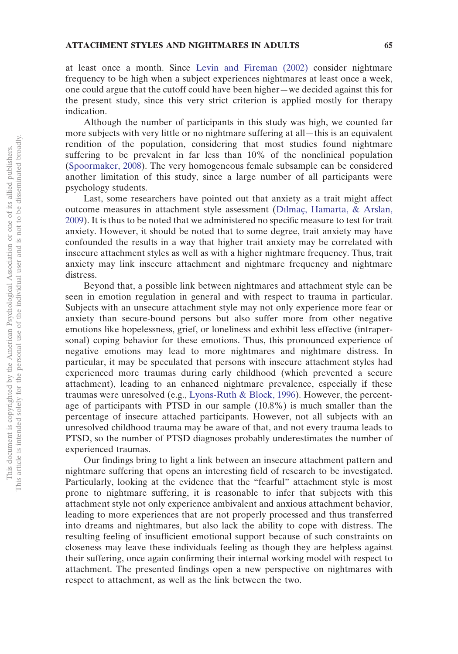at least once a month. Since [Levin and Fireman \(2002\)](#page-7-4) consider nightmare frequency to be high when a subject experiences nightmares at least once a week, one could argue that the cutoff could have been higher—we decided against this for the present study, since this very strict criterion is applied mostly for therapy indication.

Although the number of participants in this study was high, we counted far more subjects with very little or no nightmare suffering at all—this is an equivalent rendition of the population, considering that most studies found nightmare suffering to be prevalent in far less than 10% of the nonclinical population [\(Spoormaker, 2008\)](#page-8-6). The very homogeneous female subsample can be considered another limitation of this study, since a large number of all participants were psychology students.

Last, some researchers have pointed out that anxiety as a trait might affect outcome measures in attachment style assessment [\(Dılmaç, Hamarta, & Arslan,](#page-7-21) [2009\)](#page-7-21). It is thus to be noted that we administered no specific measure to test for trait anxiety. However, it should be noted that to some degree, trait anxiety may have confounded the results in a way that higher trait anxiety may be correlated with insecure attachment styles as well as with a higher nightmare frequency. Thus, trait anxiety may link insecure attachment and nightmare frequency and nightmare distress.

Beyond that, a possible link between nightmares and attachment style can be seen in emotion regulation in general and with respect to trauma in particular. Subjects with an unsecure attachment style may not only experience more fear or anxiety than secure-bound persons but also suffer more from other negative emotions like hopelessness, grief, or loneliness and exhibit less effective (intrapersonal) coping behavior for these emotions. Thus, this pronounced experience of negative emotions may lead to more nightmares and nightmare distress. In particular, it may be speculated that persons with insecure attachment styles had experienced more traumas during early childhood (which prevented a secure attachment), leading to an enhanced nightmare prevalence, especially if these traumas were unresolved (e.g., [Lyons-Ruth & Block, 1996\)](#page-7-22). However, the percentage of participants with PTSD in our sample (10.8%) is much smaller than the percentage of insecure attached participants. However, not all subjects with an unresolved childhood trauma may be aware of that, and not every trauma leads to PTSD, so the number of PTSD diagnoses probably underestimates the number of experienced traumas.

Our findings bring to light a link between an insecure attachment pattern and nightmare suffering that opens an interesting field of research to be investigated. Particularly, looking at the evidence that the "fearful" attachment style is most prone to nightmare suffering, it is reasonable to infer that subjects with this attachment style not only experience ambivalent and anxious attachment behavior, leading to more experiences that are not properly processed and thus transferred into dreams and nightmares, but also lack the ability to cope with distress. The resulting feeling of insufficient emotional support because of such constraints on closeness may leave these individuals feeling as though they are helpless against their suffering, once again confirming their internal working model with respect to attachment. The presented findings open a new perspective on nightmares with respect to attachment, as well as the link between the two.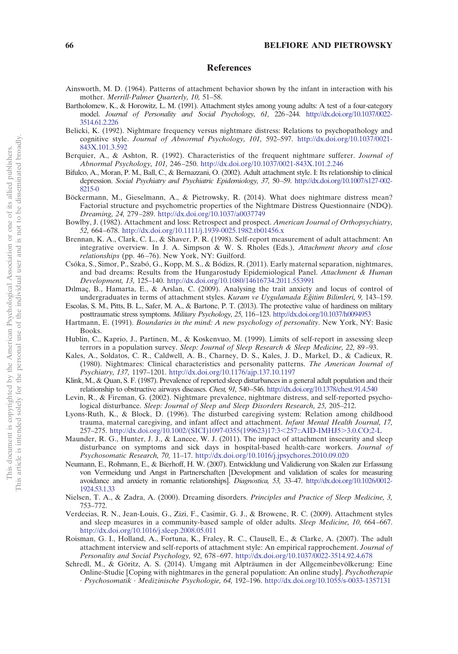#### **References**

- <span id="page-7-6"></span>Ainsworth, M. D. (1964). Patterns of attachment behavior shown by the infant in interaction with his mother. *Merrill-Palmer Quarterly, 10,* 51–58.
- <span id="page-7-7"></span>Bartholomew, K., & Horowitz, L. M. (1991). Attachment styles among young adults: A test of a four-category model. *Journal of Personality and Social Psychology, 61,* 226–244. [http://dx.doi.org/10.1037/0022-](http://dx.doi.org/10.1037/0022-3514.61.2.226) [3514.61.2.226](http://dx.doi.org/10.1037/0022-3514.61.2.226)
- <span id="page-7-15"></span>Belicki, K. (1992). Nightmare frequency versus nightmare distress: Relations to psychopathology and cognitive style. *Journal of Abnormal Psychology, 101,* 592–597. [http://dx.doi.org/10.1037/0021-](http://dx.doi.org/10.1037/0021-843X.101.3.592) [843X.101.3.592](http://dx.doi.org/10.1037/0021-843X.101.3.592)
- <span id="page-7-1"></span>Berquier, A., & Ashton, R. (1992). Characteristics of the frequent nightmare sufferer. *Journal of Abnormal Psychology, 101,* 246–250. <http://dx.doi.org/10.1037/0021-843X.101.2.246>
- <span id="page-7-8"></span>Bifulco, A., Moran, P. M., Ball, C., & Bernazzani, O. (2002). Adult attachment style. I: Its relationship to clinical depression. *Social Psychiatry and Psychiatric Epidemiology, 37,* 50–59. [http://dx.doi.org/10.1007/s127-002-](http://dx.doi.org/10.1007/s127-002-8215-0) [8215-0](http://dx.doi.org/10.1007/s127-002-8215-0)
- <span id="page-7-16"></span>Böckermann, M., Gieselmann, A., & Pietrowsky, R. (2014). What does nightmare distress mean? Factorial structure and psychometric properties of the Nightmare Distress Questionnaire (NDQ). *Dreaming, 24,* 279–289. <http://dx.doi.org/10.1037/a0037749>
- <span id="page-7-5"></span>Bowlby, J. (1982). Attachment and loss: Retrospect and prospect. *American Journal of Orthopsychiatry, 52,* 664–678. <http://dx.doi.org/10.1111/j.1939-0025.1982.tb01456.x>
- <span id="page-7-13"></span>Brennan, K. A., Clark, C. L., & Shaver, P. R. (1998). Self-report measurement of adult attachment: An integrative overview. In J. A. Simpson & W. S. Rholes (Eds.), *Attachment theory and close relationships* (pp. 46–76). New York, NY: Guilford.
- <span id="page-7-9"></span>Csóka, S., Simor, P., Szabó, G., Kopp, M. S., & Bódizs, R. (2011). Early maternal separation, nightmares, and bad dreams: Results from the Hungarostudy Epidemiological Panel. *Attachment & Human Development, 13,* 125–140. <http://dx.doi.org/10.1080/14616734.2011.553991>
- <span id="page-7-21"></span>Dılmaç, B., Hamarta, E., & Arslan, C. (2009). Analysing the trait anxiety and locus of control of undergraduates in terms of attachment styles. *Kuram ve Uygulamada Eğitim Bilimleri*, 9, 143–159.
- <span id="page-7-10"></span>Escolas, S. M., Pitts, B. L., Safer, M. A., & Bartone, P. T. (2013). The protective value of hardiness on military posttraumatic stress symptoms. *Military Psychology, 25,* 116–123. <http://dx.doi.org/10.1037/h0094953>
- <span id="page-7-3"></span>Hartmann, E. (1991). *Boundaries in the mind: A new psychology of personality*. New York, NY: Basic Books.
- <span id="page-7-18"></span>Hublin, C., Kaprio, J., Partinen, M., & Koskenvuo, M. (1999). Limits of self-report in assessing sleep terrors in a population survey. *Sleep: Journal of Sleep Research & Sleep Medicine, 22,* 89–93.
- <span id="page-7-2"></span>Kales, A., Soldatos, C. R., Caldwell, A. B., Charney, D. S., Kales, J. D., Markel, D., & Cadieux, R. (1980). Nightmares: Clinical characteristics and personality patterns. *The American Journal of Psychiatry, 137,* 1197–1201. <http://dx.doi.org/10.1176/ajp.137.10.1197>
- <span id="page-7-19"></span>Klink, M., & Quan, S. F. (1987). Prevalence of reported sleep disturbances in a general adult population and their relationship to obstructive airways diseases. *Chest, 91,* 540–546. <http://dx.doi.org/10.1378/chest.91.4.540>
- <span id="page-7-4"></span>Levin, R., & Fireman, G. (2002). Nightmare prevalence, nightmare distress, and self-reported psychological disturbance. *Sleep: Journal of Sleep and Sleep Disorders Research, 25,* 205–212.
- <span id="page-7-22"></span>Lyons-Ruth, K., & Block, D. (1996). The disturbed caregiving system: Relation among childhood trauma, maternal caregiving, and infant affect and attachment. *Infant Mental Health Journal, 17,* 257-275. [http://dx.doi.org/10.1002/\(SICI\)1097-0355\(199623\)17:3](http://dx.doi.org/10.1002/(SICI)1097-0355(199623)17:3<257::AID-IMHJ5>3.0.CO;2-L)<257::AID-IMHJ5>3.0.CO;2-L
- <span id="page-7-11"></span>Maunder, R. G., Hunter, J. J., & Lancee, W. J. (2011). The impact of attachment insecurity and sleep disturbance on symptoms and sick days in hospital-based health-care workers. *Journal of Psychosomatic Research, 70,* 11–17. <http://dx.doi.org/10.1016/j.jpsychores.2010.09.020>
- <span id="page-7-14"></span>Neumann, E., Rohmann, E., & Bierhoff, H. W. (2007). Entwicklung und Validierung von Skalen zur Erfassung von Vermeidung und Angst in Partnerschaften [Development and validation of scales for measuring avoidance and anxiety in romantic relationships]. *Diagnostica, 53,* 33–47. [http://dx.doi.org/10.1026/0012-](http://dx.doi.org/10.1026/0012-1924.53.1.33) [1924.53.1.33](http://dx.doi.org/10.1026/0012-1924.53.1.33)
- <span id="page-7-20"></span>Nielsen, T. A., & Zadra, A. (2000). Dreaming disorders. *Principles and Practice of Sleep Medicine, 3,* 753–772.
- <span id="page-7-12"></span>Verdecias, R. N., Jean-Louis, G., Zizi, F., Casimir, G. J., & Browene, R. C. (2009). Attachment styles and sleep measures in a community-based sample of older adults. *Sleep Medicine, 10,* 664–667. <http://dx.doi.org/10.1016/j.sleep.2008.05.011>
- <span id="page-7-17"></span>Roisman, G. I., Holland, A., Fortuna, K., Fraley, R. C., Clausell, E., & Clarke, A. (2007). The adult attachment interview and self-reports of attachment style: An empirical rapprochement. *Journal of Personality and Social Psychology, 92,* 678–697. <http://dx.doi.org/10.1037/0022-3514.92.4.678>
- <span id="page-7-0"></span>Schredl, M., & Göritz, A. S. (2014). Umgang mit Alpträumen in der Allgemeinbevölkerung: Eine Online-Studie [Coping with nightmares in the general population: An online study]. *Psychotherapie · Psychosomatik · Medizinische Psychologie, 64,* 192–196. <http://dx.doi.org/10.1055/s-0033-1357131>